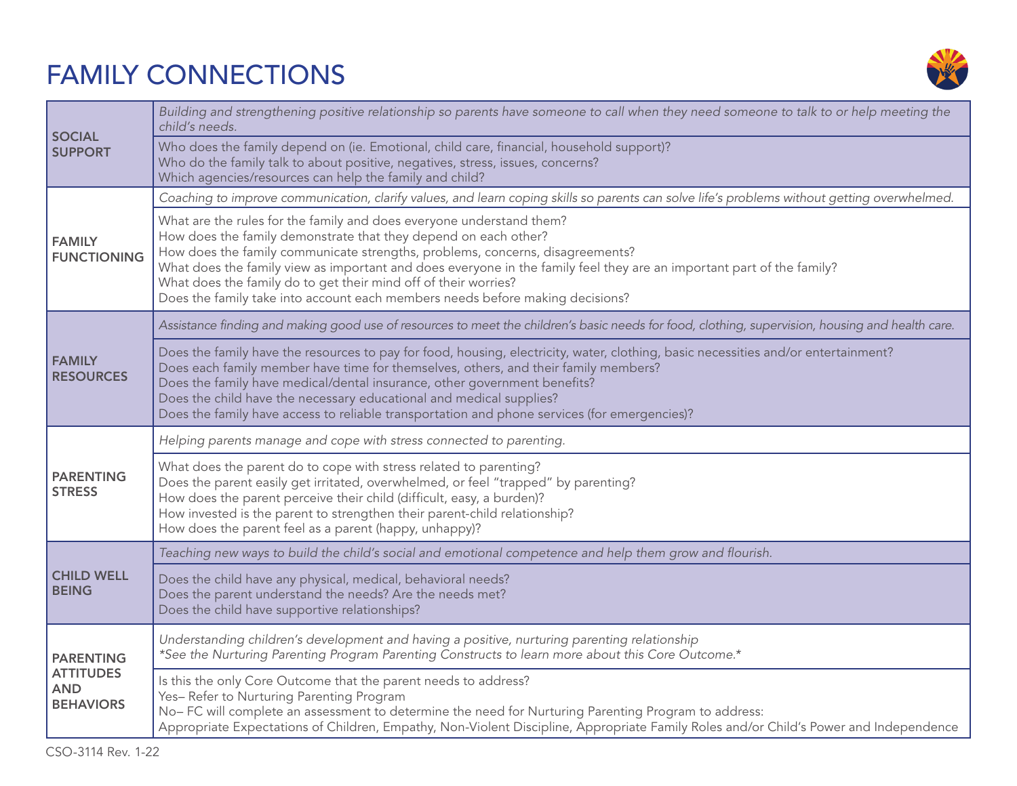## FAMILY CONNECTIONS



| <b>SOCIAL</b><br><b>SUPPORT</b>                                        | Building and strengthening positive relationship so parents have someone to call when they need someone to talk to or help meeting the<br>child's needs.                                                                                                                                                                                                                                                                                                                                              |
|------------------------------------------------------------------------|-------------------------------------------------------------------------------------------------------------------------------------------------------------------------------------------------------------------------------------------------------------------------------------------------------------------------------------------------------------------------------------------------------------------------------------------------------------------------------------------------------|
|                                                                        | Who does the family depend on (ie. Emotional, child care, financial, household support)?<br>Who do the family talk to about positive, negatives, stress, issues, concerns?<br>Which agencies/resources can help the family and child?                                                                                                                                                                                                                                                                 |
| <b>FAMILY</b><br><b>FUNCTIONING</b>                                    | Coaching to improve communication, clarify values, and learn coping skills so parents can solve life's problems without getting overwhelmed.                                                                                                                                                                                                                                                                                                                                                          |
|                                                                        | What are the rules for the family and does everyone understand them?<br>How does the family demonstrate that they depend on each other?<br>How does the family communicate strengths, problems, concerns, disagreements?<br>What does the family view as important and does everyone in the family feel they are an important part of the family?<br>What does the family do to get their mind off of their worries?<br>Does the family take into account each members needs before making decisions? |
| <b>FAMILY</b><br><b>RESOURCES</b>                                      | Assistance finding and making good use of resources to meet the children's basic needs for food, clothing, supervision, housing and health care.                                                                                                                                                                                                                                                                                                                                                      |
|                                                                        | Does the family have the resources to pay for food, housing, electricity, water, clothing, basic necessities and/or entertainment?<br>Does each family member have time for themselves, others, and their family members?<br>Does the family have medical/dental insurance, other government benefits?<br>Does the child have the necessary educational and medical supplies?<br>Does the family have access to reliable transportation and phone services (for emergencies)?                         |
| <b>PARENTING</b><br><b>STRESS</b>                                      | Helping parents manage and cope with stress connected to parenting.                                                                                                                                                                                                                                                                                                                                                                                                                                   |
|                                                                        | What does the parent do to cope with stress related to parenting?<br>Does the parent easily get irritated, overwhelmed, or feel "trapped" by parenting?<br>How does the parent perceive their child (difficult, easy, a burden)?<br>How invested is the parent to strengthen their parent-child relationship?<br>How does the parent feel as a parent (happy, unhappy)?                                                                                                                               |
| <b>CHILD WELL</b><br><b>BEING</b>                                      | Teaching new ways to build the child's social and emotional competence and help them grow and flourish.                                                                                                                                                                                                                                                                                                                                                                                               |
|                                                                        | Does the child have any physical, medical, behavioral needs?<br>Does the parent understand the needs? Are the needs met?<br>Does the child have supportive relationships?                                                                                                                                                                                                                                                                                                                             |
| <b>PARENTING</b><br><b>ATTITUDES</b><br><b>AND</b><br><b>BEHAVIORS</b> | Understanding children's development and having a positive, nurturing parenting relationship<br>*See the Nurturing Parenting Program Parenting Constructs to learn more about this Core Outcome.*                                                                                                                                                                                                                                                                                                     |
|                                                                        | Is this the only Core Outcome that the parent needs to address?<br>Yes-Refer to Nurturing Parenting Program<br>No-FC will complete an assessment to determine the need for Nurturing Parenting Program to address:<br>Appropriate Expectations of Children, Empathy, Non-Violent Discipline, Appropriate Family Roles and/or Child's Power and Independence                                                                                                                                           |